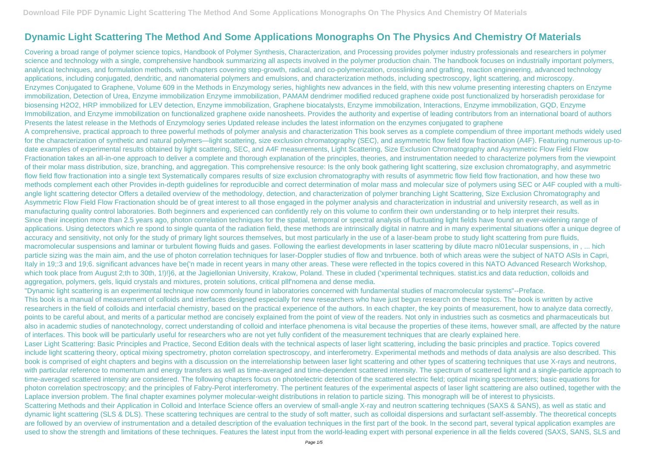## **Dynamic Light Scattering The Method And Some Applications Monographs On The Physics And Chemistry Of Materials**

Covering a broad range of polymer science topics, Handbook of Polymer Synthesis, Characterization, and Processing provides polymer industry professionals and researchers in polymer science and technology with a single, comprehensive handbook summarizing all aspects involved in the polymer production chain. The handbook focuses on industrially important polymers, analytical techniques, and formulation methods, with chapters covering step-growth, radical, and co-polymerization, crosslinking and grafting, reaction engineering, advanced technology applications, including conjugated, dendritic, and nanomaterial polymers and emulsions, and characterization methods, including spectroscopy, light scattering, and microscopy. Enzymes Conjugated to Graphene, Volume 609 in the Methods in Enzymology series, highlights new advances in the field, with this new volume presenting interesting chapters on Enzyme immobilization, Detection of Urea, Enzyme immobilization Enzyme immobilization, PAMAM dendrimer modified reduced graphene oxide post functionalized by horseradish peroxidase for biosensing H2O2, HRP immobilized for LEV detection, Enzyme immobilization, Graphene biocatalysts, Enzyme immobilization, Interactions, Enzyme immobilization, GQD, Enzyme Immobilization, and Enzyme immobilization on functionalized graphene oxide nanosheets. Provides the authority and expertise of leading contributors from an international board of authors Presents the latest release in the Methods of Enzymology series Updated release includes the latest information on the enzymes conjugated to graphene A comprehensive, practical approach to three powerful methods of polymer analysis and characterization This book serves as a complete compendium of three important methods widely used for the characterization of synthetic and natural polymers—light scattering, size exclusion chromatography (SEC), and asymmetric flow field flow fractionation (A4F). Featuring numerous up-todate examples of experimental results obtained by light scattering, SEC, and A4F measurements, Light Scattering, Size Exclusion Chromatography and Asymmetric Flow Field Flow Fractionation takes an all-in-one approach to deliver a complete and thorough explanation of the principles, theories, and instrumentation needed to characterize polymers from the viewpoint of their molar mass distribution, size, branching, and aggregation. This comprehensive resource: Is the only book gathering light scattering, size exclusion chromatography, and asymmetric flow field flow fractionation into a single text Systematically compares results of size exclusion chromatography with results of asymmetric flow field flow fractionation, and how these two methods complement each other Provides in-depth guidelines for reproducible and correct determination of molar mass and molecular size of polymers using SEC or A4F coupled with a multiangle light scattering detector Offers a detailed overview of the methodology, detection, and characterization of polymer branching Light Scattering, Size Exclusion Chromatography and Asymmetric Flow Field Flow Fractionation should be of great interest to all those engaged in the polymer analysis and characterization in industrial and university research, as well as in manufacturing quality control laboratories. Both beginners and experienced can confidently rely on this volume to confirm their own understanding or to help interpret their results. Since their inception more than 2.5 years ago, photon correlation techniques for the spatial, temporal or spectral analysis of fluctuating light fields have found an ever-widening range of applications. Using detectors which re spond to single quanta of the radiation field, these methods are intrinsically digital in natnre and in many experimental situations offer a unique degree of accuracy and sensitivity, not only for the study of primary light sources themselves, but most particularly in the use of a laser-beam probe to study light scattering from pure fluids, macromolecular suspensions and laminar or turbulent flowing fluids and gases. Following the earliest developments in laser scattering by dilute macro nl01ecular suspensions, in , ... hich particle sizing was the main aim, and the use of photon correlation techniques for laser-Doppler studies of flow and tnrbuence. both of which areas were the subject of NATO ASIs in Capri, Italy in 19;:3 and 19;6. significant advances have be('n made in recent years in many other areas. These were reflected in the topics covered in this NATO Advanced Research Workshop, which took place from August 2;th to 30th, 1!)!}6, at the Jagiellonian University, Krakow, Poland. These in cluded ('xperimental techniques, statist.ics and data reduction, colloids and aggregation, polymers, gels, liquid crystals and mixtures, protein solutions, critical pllf'nomena and dense media.

"Dynamic light scattering is an experimental technique now commonly found in laboratories concerned with fundamental studies of macromolecular systems"--Preface. This book is a manual of measurement of colloids and interfaces designed especially for new researchers who have just begun research on these topics. The book is written by active researchers in the field of colloids and interfacial chemistry, based on the practical experience of the authors. In each chapter, the key points of measurement, how to analyze data correctly, points to be careful about, and merits of a particular method are concisely explained from the point of view of the readers. Not only in industries such as cosmetics and pharmaceuticals but also in academic studies of nanotechnology, correct understanding of colloid and interface phenomena is vital because the properties of these items, however small, are affected by the nature of interfaces. This book will be particularly useful for researchers who are not yet fully confident of the measurement techniques that are clearly explained here. Laser Light Scattering: Basic Principles and Practice, Second Edition deals with the technical aspects of laser light scattering, including the basic principles and practice. Topics covered include light scattering theory, optical mixing spectrometry, photon correlation spectroscopy, and interferometry. Experimental methods and methods of data analysis are also described. This book is comprised of eight chapters and begins with a discussion on the interrelationship between laser light scattering and other types of scattering techniques that use X-rays and neutrons, with particular reference to momentum and energy transfers as well as time-averaged and time-dependent scattered intensity. The spectrum of scattered light and a single-particle approach to time-averaged scattered intensity are considered. The following chapters focus on photoelectric detection of the scattered electric field; optical mixing spectrometers; basic equations for photon correlation spectroscopy; and the principles of Fabry-Perot interferometry. The pertinent features of the experimental aspects of laser light scattering are also outlined, together with the Laplace inversion problem. The final chapter examines polymer molecular-weight distributions in relation to particle sizing. This monograph will be of interest to physicists. Scattering Methods and their Application in Colloid and Interface Science offers an overview of small-angle X-ray and neutron scattering techniques (SAXS & SANS), as well as static and dynamic light scattering (SLS & DLS). These scattering techniques are central to the study of soft matter, such as colloidal dispersions and surfactant self-assembly. The theoretical concepts are followed by an overview of instrumentation and a detailed description of the evaluation techniques in the first part of the book. In the second part, several typical application examples are used to show the strength and limitations of these techniques. Features the latest input from the world-leading expert with personal experience in all the fields covered (SAXS, SANS, SLS and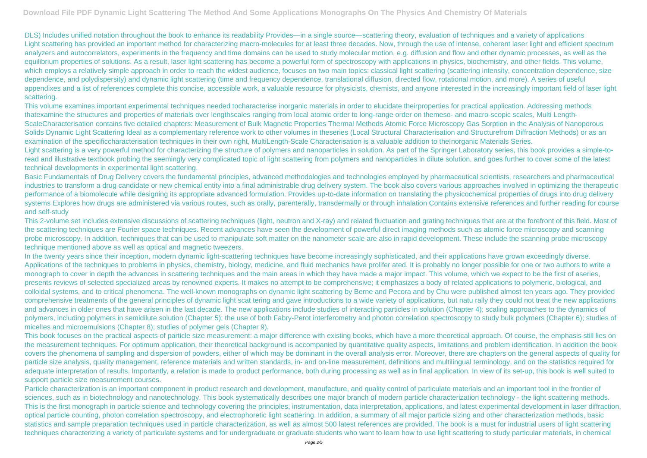DLS) Includes unified notation throughout the book to enhance its readability Provides—in a single source—scattering theory, evaluation of techniques and a variety of applications Light scattering has provided an important method for characterizing macro-molecules for at least three decades. Now, through the use of intense, coherent laser light and efficient spectrum analyzers and autocorrelators, experiments in the frequency and time domains can be used to study molecular motion, e.g. diffusion and flow and other dynamic processes, as well as the equilibrium properties of solutions. As a result, laser light scattering has become a powerful form of spectroscopy with applications in physics, biochemistry, and other fields. This volume, which employs a relatively simple approach in order to reach the widest audience, focuses on two main topics: classical light scattering (scattering intensity, concentration dependence, size dependence, and polydispersity) and dynamic light scattering (time and frequency dependence, translational diffusion, directed flow, rotational motion, and more). A series of useful appendixes and a list of references complete this concise, accessible work, a valuable resource for physicists, chemists, and anyone interested in the increasingly important field of laser light scattering.

This volume examines important experimental techniques needed tocharacterise inorganic materials in order to elucidate theirproperties for practical application. Addressing methods thatexamine the structures and properties of materials over lengthscales ranging from local atomic order to long-range order on themeso- and macro-scopic scales, Multi Length-ScaleCharacterisation contains five detailed chapters: Measurement of Bulk Magnetic Properties Thermal Methods Atomic Force Microscopy Gas Sorption in the Analysis of Nanoporous Solids Dynamic Light Scattering Ideal as a complementary reference work to other volumes in theseries (Local Structural Characterisation and Structurefrom Diffraction Methods) or as an examination of the specificcharacterisation techniques in their own right, MultiLength-Scale Characterisation is a valuable addition to theInorganic Materials Series. Light scattering is a very powerful method for characterizing the structure of polymers and nanoparticles in solution. As part of the Springer Laboratory series, this book provides a simple-toread and illustrative textbook probing the seemingly very complicated topic of light scattering from polymers and nanoparticles in dilute solution, and goes further to cover some of the latest technical developments in experimental light scattering.

Basic Fundamentals of Drug Delivery covers the fundamental principles, advanced methodologies and technologies employed by pharmaceutical scientists, researchers and pharmaceutical industries to transform a drug candidate or new chemical entity into a final administrable drug delivery system. The book also covers various approaches involved in optimizing the therapeutic performance of a biomolecule while designing its appropriate advanced formulation. Provides up-to-date information on translating the physicochemical properties of drugs into drug delivery systems Explores how drugs are administered via various routes, such as orally, parenterally, transdermally or through inhalation Contains extensive references and further reading for course and self-study

This book focuses on the practical aspects of particle size measurement: a major difference with existing books, which have a more theoretical approach. Of course, the emphasis still lies on the measurement techniques. For optimum application, their theoretical background is accompanied by quantitative quality aspects, limitations and problem identification. In addition the book covers the phenomena of sampling and dispersion of powders, either of which may be dominant in the overall analysis error. Moreover, there are chapters on the general aspects of quality for particle size analysis, quality management, reference materials and written standards, in- and on-line measurement, definitions and multilingual terminology, and on the statistics required for adequate interpretation of results. Importantly, a relation is made to product performance, both during processing as well as in final application. In view of its set-up, this book is well suited to support particle size measurement courses.

This 2-volume set includes extensive discussions of scattering techniques (light, neutron and X-ray) and related fluctuation and grating techniques that are at the forefront of this field. Most of the scattering techniques are Fourier space techniques. Recent advances have seen the development of powerful direct imaging methods such as atomic force microscopy and scanning probe microscopy. In addition, techniques that can be used to manipulate soft matter on the nanometer scale are also in rapid development. These include the scanning probe microscopy technique mentioned above as well as optical and magnetic tweezers.

In the twenty years since their inception, modern dynamic light-scattering techniques have become increasingly sophisticated, and their applications have grown exceedingly diverse. Applications of the techniques to problems in physics, chemistry, biology, medicine, and fluid mechanics have prolifer ated. It is probably no longer possible for one or two authors to write a monograph to cover in depth the advances in scattering techniques and the main areas in which they have made a major impact. This volume, which we expect to be the first of aseries, presents reviews of selected specialized areas by renowned experts. It makes no attempt to be comprehensive; it emphasizes a body of related applications to polymeric, biological, and colloidal systems, and to critical phenomena. The well-known monographs on dynamic light scattering by Berne and Pecora and by Chu were published almost ten years ago. They provided comprehensive treatments of the general principles of dynamic light scat tering and gave introductions to a wide variety of applications, but natu rally they could not treat the new applications and advances in older ones that have arisen in the last decade. The new applications include studies of interacting particles in solution (Chapter 4); scaling approaches to the dynamics of polymers, including polymers in semidilute solution (Chapter 5); the use of both Fabry-Perot interferometry and photon correlation spectroscopy to study bulk polymers (Chapter 6); studies of micelles and microemulsions (Chapter 8); studies of polymer gels (Chapter 9).

Particle characterization is an important component in product research and development, manufacture, and quality control of particulate materials and an important tool in the frontier of sciences, such as in biotechnology and nanotechnology. This book systematically describes one major branch of modern particle characterization technology - the light scattering methods. This is the first monograph in particle science and technology covering the principles, instrumentation, data interpretation, applications, and latest experimental development in laser diffraction, optical particle counting, photon correlation spectroscopy, and electrophoretic light scattering. In addition, a summary of all major particle sizing and other characterization methods, basic statistics and sample preparation techniques used in particle characterization, as well as almost 500 latest references are provided. The book is a must for industrial users of light scattering techniques characterizing a variety of particulate systems and for undergraduate or graduate students who want to learn how to use light scattering to study particular materials, in chemical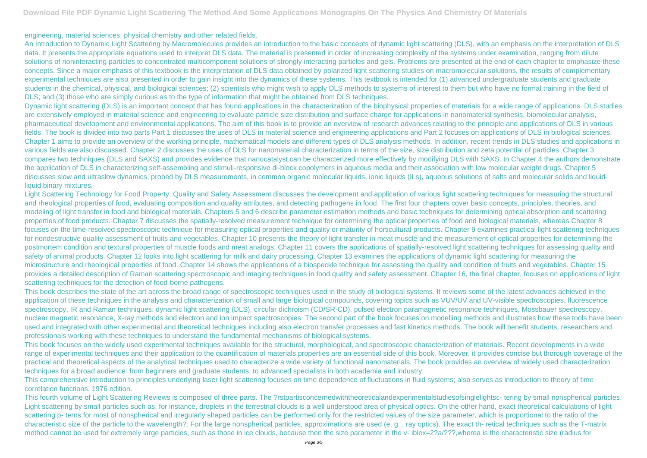engineering, material sciences, physical chemistry and other related fields.

An Introduction to Dynamic Light Scattering by Macromolecules provides an introduction to the basic concepts of dynamic light scattering (DLS), with an emphasis on the interpretation of DLS data. It presents the appropriate equations used to interpret DLS data. The material is presented in order of increasing complexity of the systems under examination, ranging from dilute solutions of noninteracting particles to concentrated multicomponent solutions of strongly interacting particles and gels. Problems are presented at the end of each chapter to emphasize these concepts. Since a major emphasis of this textbook is the interpretation of DLS data obtained by polarized light scattering studies on macromolecular solutions, the results of complementary experimental techniques are also presented in order to gain insight into the dynamics of these systems. This textbook is intended for (1) advanced undergraduate students and graduate students in the chemical, physical, and biological sciences; (2) scientists who might wish to apply DLS methods to systems of interest to them but who have no formal training in the field of DLS; and (3) those who are simply curious as to the type of information that might be obtained from DLS techniques.

Dynamic light scattering (DLS) is an important concept that has found applications in the characterization of the biophysical properties of materials for a wide range of applications. DLS studies are extensively employed in material science and engineering to evaluate particle size distribution and surface charge for applications in nanomaterial synthesis, biomolecular analysis, pharmaceutical development and environmental applications. The aim of this book is to provide an overview of research advances relating to the principle and applications of DLS in various fields. The book is divided into two parts Part 1 discusses the uses of DLS in material science and engineering applications and Part 2 focuses on applications of DLS in biological sciences. Chapter 1 aims to provide an overview of the working principle, mathematical models and different types of DLS analysis methods. In addition, recent trends in DLS studies and applications in various fields are also discussed. Chapter 2 discusses the uses of DLS for nanomaterial characterization in terms of the size, size distribution and zeta potential of particles. Chapter 3 compares two techniques (DLS and SAXS) and provides evidence that nanocatalyst can be characterized more effectively by modifying DLS with SAXS. In Chapter 4 the authors demonstrate the application of DLS in characterizing self-assembling and stimuli-responsive di-block copolymers in aqueous media and their association with low molecular weight drugs. Chapter 5 discusses slow and ultraslow dynamics, probed by DLS measurements, in common organic molecular liquids, ionic liquids (ILs), aqueous solutions of salts and molecular solids and liquidliquid binary mixtures.

Light Scattering Technology for Food Property, Quality and Safety Assessment discusses the development and application of various light scattering techniques for measuring the structural and rheological properties of food, evaluating composition and quality attributes, and detecting pathogens in food. The first four chapters cover basic concepts, principles, theories, and modeling of light transfer in food and biological materials. Chapters 5 and 6 describe parameter estimation methods and basic techniques for determining optical absorption and scattering properties of food products. Chapter 7 discusses the spatially-resolved measurement technique for determining the optical properties of food and biological materials, whereas Chapter 8 focuses on the time-resolved spectroscopic technique for measuring optical properties and quality or maturity of horticultural products. Chapter 9 examines practical light scattering techniques for nondestructive quality assessment of fruits and vegetables. Chapter 10 presents the theory of light transfer in meat muscle and the measurement of optical properties for determining the postmortem condition and textural properties of muscle foods and meat analogs. Chapter 11 covers the applications of spatially-resolved light scattering techniques for assessing quality and safety of animal products. Chapter 12 looks into light scattering for milk and dairy processing. Chapter 13 examines the applications of dynamic light scattering for measuring the microstructure and rheological properties of food. Chapter 14 shows the applications of a biospeckle technique for assessing the quality and condition of fruits and vegetables. Chapter 15 provides a detailed description of Raman scattering spectroscopic and imaging techniques in food quality and safety assessment. Chapter 16, the final chapter, focuses on applications of light scattering techniques for the detection of food-borne pathogens.

This book describes the state of the art across the broad range of spectroscopic techniques used in the study of biological systems. It reviews some of the latest advances achieved in the application of these techniques in the analysis and characterization of small and large biological compounds, covering topics such as VUV/UV and UV-visible spectroscopies, fluorescence spectroscopy, IR and Raman techniques, dynamic light scattering (DLS), circular dichroism (CD/SR-CD), pulsed electron paramagnetic resonance techniques, Mössbauer spectroscopy, nuclear magnetic resonance, X-ray methods and electron and ion impact spectroscopies. The second part of the book focuses on modelling methods and illustrates how these tools have been used and integrated with other experimental and theoretical techniques including also electron transfer processes and fast kinetics methods. The book will benefit students, researchers and professionals working with these techniques to understand the fundamental mechanisms of biological systems.

This book focuses on the widely used experimental techniques available for the structural, morphological, and spectroscopic characterization of materials. Recent developments in a wide range of experimental techniques and their application to the quantification of materials properties are an essential side of this book. Moreover, it provides concise but thorough coverage of the practical and theoretical aspects of the analytical techniques used to characterize a wide variety of functional nanomaterials. The book provides an overview of widely used characterization techniques for a broad audience: from beginners and graduate students, to advanced specialists in both academia and industry.

This comprehensive introduction to principles underlying laser light scattering focuses on time dependence of fluctuations in fluid systems; also serves as introduction to theory of time correlation functions. 1976 edition.

This fourth volume of Light Scattering Reviews is composed of three parts. The ?rstpartisconcernedwiththeoreticalandexperimentalstudiesofsinglelightsc- tering by small nonspherical particles. Light scattering by small particles such as, for instance, droplets in the terrestrial clouds is a well understood area of physical optics. On the other hand, exact theoretical calculations of light scattering p- terns for most of nonspherical and irregularly shaped particles can be performed only for the restricted values of the size parameter, which is proportional to the ratio of the characteristic size of the particle to the wavelength?. For the large nonspherical particles, approximations are used (e. g. , ray optics). The exact th- retical techniques such as the T-matrix method cannot be used for extremely large particles, such as those in ice clouds, because then the size parameter in the v- iblex=2?a/???,wherea is the characteristic size (radius for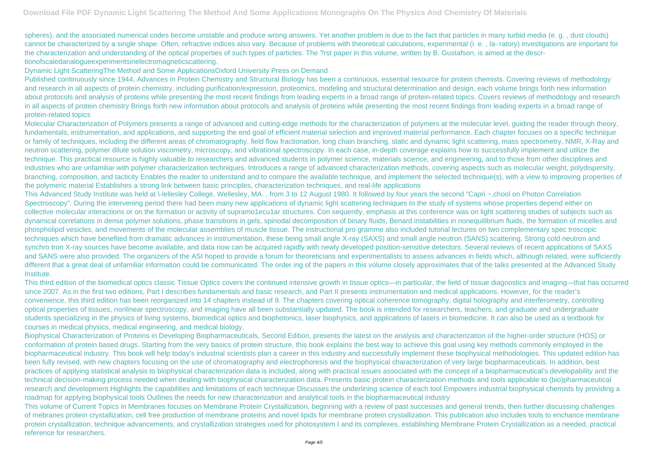spheres), and the associated numerical codes become unstable and produce wrong answers. Yet another problem is due to the fact that particles in many turbid media (e. g. , dust clouds) cannot be characterized by a single shape. Often, refractive indices also vary. Because of problems with theoretical calculations, experimental (i. e. , la- ratory) investigations are important for the characterization and understanding of the optical properties of such types of particles. The ?rst paper in this volume, written by B. Gustafson, is aimed at the descrtionofscaledanalogueexperimentsinelectromagneticscattering.

Dynamic Light ScatteringThe Method and Some ApplicationsOxford University Press on Demand

Published continuously since 1944, Advances in Protein Chemistry and Structural Biology has been a continuous, essential resource for protein chemists. Covering reviews of methodology and research in all aspects of protein chemistry, including purification/expression, proteomics, modeling and structural determination and design, each volume brings forth new information about protocols and analysis of proteins while presenting the most recent findings from leading experts in a broad range of protein-related topics. Covers reviews of methodology and research in all aspects of protein chemistry Brings forth new information about protocols and analysis of proteins while presenting the most recent findings from leading experts in a broad range of protein-related topics

Molecular Characterization of Polymers presents a range of advanced and cutting-edge methods for the characterization of polymers at the molecular level, guiding the reader through theory, fundamentals, instrumentation, and applications, and supporting the end goal of efficient material selection and improved material performance. Each chapter focuses on a specific technique or family of techniques, including the different areas of chromatography, field flow fractionation, long chain branching, static and dynamic light scattering, mass spectrometry, NMR, X-Ray and neutron scattering, polymer dilute solution viscometry, microscopy, and vibrational spectroscopy. In each case, in-depth coverage explains how to successfully implement and utilize the technique. This practical resource is highly valuable to researchers and advanced students in polymer science, materials science, and engineering, and to those from other disciplines and industries who are unfamiliar with polymer characterization techniques. Introduces a range of advanced characterization methods, covering aspects such as molecular weight, polydispersity, branching, composition, and tacticity Enables the reader to understand and to compare the available technique, and implement the selected technique(s), with a view to improving properties of the polymeric material Establishes a strong link between basic principles, characterization techniques, and real-life applications

This Advanced Study Institute was held at \-lellesley College, Wellesley, MA. , from 3 to 12 August 1980. It followed by four years the second "Capri ~,chool on Photon Correlation Spectroscopy". During the intervening period there had been many new applications of dynamic light scattering techniques to the study of systems whose properties depend either on collective molecular interactions or on the formation or activity of supramo1ecu1ar structures. Con sequently, emphasis at this conference was on light scattering studies of subjects such as dynamical correlations in dense polymer solutions, phase transitions in gels, spinodal decomposition of binary fluids, Benard instabilities in nonequilibrium fluids, the formation of micelles and phospholipid vesicles, and movements of the molecular assemblies of muscle tissue. The instructional pro gramme also included tutorial lectures on two complementary spec troscopic techniques which have benefited from dramatic advances in instrumentation, these being small angle X-ray (SAXS) and small angle neutron (SANS) scattering. Strong cold neutron and synchro tron X-ray sources have become available, and data now can be acquired rapidly with newly developed position-sensitive detectors. Several reviews of recent applications of SAXS and SANS were also provided. The organizers of the ASI hoped to provide a forum for theoreticians and experimentalists to assess advances in fields which, although related, were sufficiently different that a great deal of unfamiliar information could be communicated. The order ing of the papers in this volume closely approximates that of the talks presented at the Advanced Study Institute.

This third edition of the biomedical optics classic Tissue Optics covers the continued intensive growth in tissue optics—in particular, the field of tissue diagnostics and imaging—that has occurred since 2007. As in the first two editions, Part I describes fundamentals and basic research, and Part II presents instrumentation and medical applications. However, for the reader's convenience, this third edition has been reorganized into 14 chapters instead of 9. The chapters covering optical coherence tomography, digital holography and interferometry, controlling optical properties of tissues, nonlinear spectroscopy, and imaging have all been substantially updated. The book is intended for researchers, teachers, and graduate and undergraduate students specializing in the physics of living systems, biomedical optics and biophotonics, laser biophysics, and applications of lasers in biomedicine. It can also be used as a textbook for courses in medical physics, medical engineering, and medical biology.

Biophysical Characterization of Proteins in Developing Biopharmaceuticals, Second Edition, presents the latest on the analysis and characterization of the higher-order structure (HOS) or conformation of protein based drugs. Starting from the very basics of protein structure, this book explains the best way to achieve this goal using key methods commonly employed in the biopharmaceutical industry. This book will help today's industrial scientists plan a career in this industry and successfully implement these biophysical methodologies. This updated edition has been fully revised, with new chapters focusing on the use of chromatography and electrophoresis and the biophysical characterization of very large biopharmaceuticals. In addition, best practices of applying statistical analysis to biophysical characterization data is included, along with practical issues associated with the concept of a biopharmaceutical's developability and the technical decision-making process needed when dealing with biophysical characterization data. Presents basic protein characterization methods and tools applicable to (bio)pharmaceutical research and development Highlights the capabilities and limitations of each technique Discusses the underlining science of each tool Empowers industrial biophysical chemists by providing a roadmap for applying biophysical tools Outlines the needs for new characterization and analytical tools in the biopharmaceutical industry

This volume of Current Topics in Membranes focuses on Membrane Protein Crystallization, beginning with a review of past successes and general trends, then further discussing challenges of mebranes protein crystallization, cell free production of membrane proteins and novel lipids for membrane protein crystallization. This publication also includes tools to enchance membrane protein crystallization, technique advancements, and crystallization strategies used for photosystem I and its complexes, establishing Membrane Protein Crystallization as a needed, practical reference for researchers.